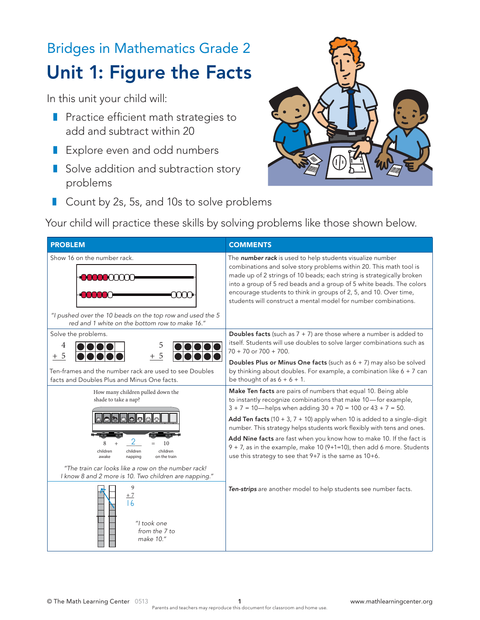## Bridges in Mathematics Grade 2 Unit 1: Figure the Facts

In this unit your child will:

- Practice efficient math strategies to add and subtract within 20
	- Explore even and odd numbers
	- **B** Solve addition and subtraction story problems



■ Count by 2s, 5s, and 10s to solve problems  $\overline{\mathcal{L}}$ .<br>۲  $\mathcal{L}_{\mathcal{A}}$ 

Your child will practice these skills by solving problems like those shown below.

| <b>PROBLEM</b>                                                                                                                                                                             | <b>COMMENTS</b>                                                                                                                                                                                                                                                                                                                                                                                                                       |
|--------------------------------------------------------------------------------------------------------------------------------------------------------------------------------------------|---------------------------------------------------------------------------------------------------------------------------------------------------------------------------------------------------------------------------------------------------------------------------------------------------------------------------------------------------------------------------------------------------------------------------------------|
| Show 16 on the number rack.<br>mm<br>"I pushed over the 10 beads on the top row and used the 5<br>red and 1 white on the bottom row to make 16."                                           | The number rack is used to help students visualize number<br>combinations and solve story problems within 20. This math tool is<br>made up of 2 strings of 10 beads; each string is strategically broken<br>into a group of 5 red beads and a group of 5 white beads. The colors<br>encourage students to think in groups of 2, 5, and 10. Over time,<br>students will construct a mental model for number combinations.              |
| Solve the problems.<br>4<br>5<br>-5<br>5<br>$^{+}$                                                                                                                                         | <b>Doubles facts</b> (such as $7 + 7$ ) are those where a number is added to<br>itself. Students will use doubles to solve larger combinations such as<br>$70 + 70$ or $700 + 700$ .<br>Doubles Plus or Minus One facts (such as $6 + 7$ ) may also be solved                                                                                                                                                                         |
| Ten-frames and the number rack are used to see Doubles<br>facts and Doubles Plus and Minus One facts.                                                                                      | by thinking about doubles. For example, a combination like $6 + 7$ can<br>be thought of as $6 + 6 + 1$ .                                                                                                                                                                                                                                                                                                                              |
| How many children pulled down the<br>shade to take a nap?                                                                                                                                  | Make Ten facts are pairs of numbers that equal 10. Being able<br>to instantly recognize combinations that make 10-for example,<br>$3 + 7 = 10$ - helps when adding $30 + 70 = 100$ or $43 + 7 = 50$ .<br>Add Ten facts (10 + 3, $7 + 10$ ) apply when 10 is added to a single-digit<br>number. This strategy helps students work flexibly with tens and ones.<br>Add Nine facts are fast when you know how to make 10. If the fact is |
| 10<br>children<br>children<br>children<br>awake<br>napping<br>on the train<br>"The train car looks like a row on the number rack!<br>I know 8 and 2 more is 10. Two children are napping." | $9 + 7$ , as in the example, make 10 (9+1=10), then add 6 more. Students<br>use this strategy to see that 9+7 is the same as 10+6.                                                                                                                                                                                                                                                                                                    |
| 9<br>$+7$<br>16<br>"I took one<br>from the 7 to<br>make 10."                                                                                                                               | Ten-strips are another model to help students see number facts.                                                                                                                                                                                                                                                                                                                                                                       |